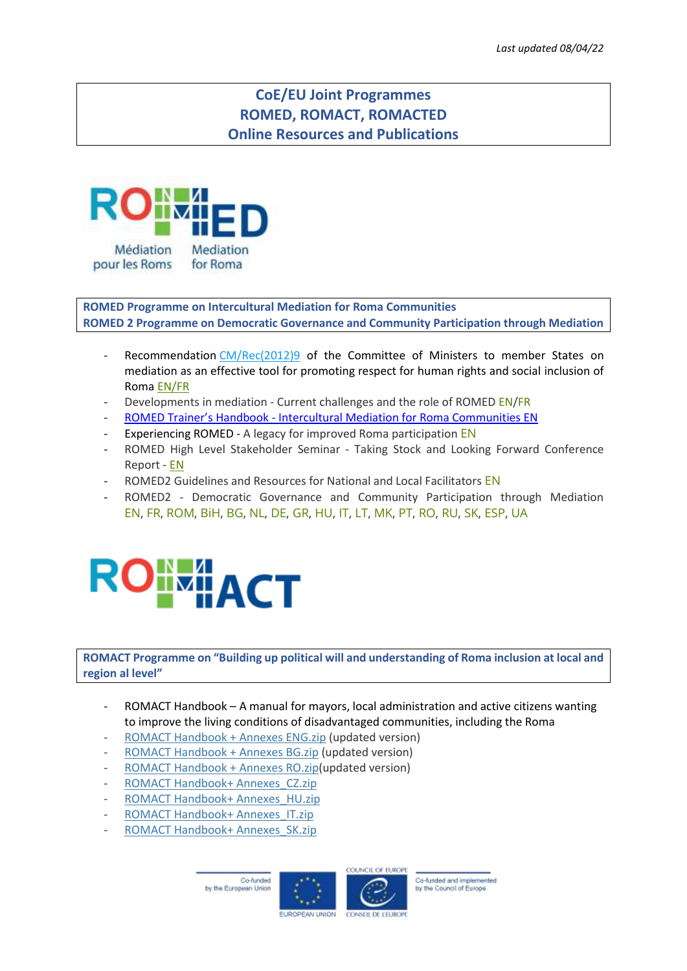## **CoE/EU Joint Programmes ROMED, ROMACT, ROMACTED Online Resources and Publications**



**ROMED Programme on Intercultural Mediation for Roma Communities ROMED 2 Programme on Democratic Governance and Community Participation through Mediation**

- Recommendation [CM/Rec\(2012\)9](https://search.coe.int/cm/Pages/result_details.aspx?Reference=CM/Rec(2012)9) of the Committee of Ministers to member States on mediation as an effective tool for promoting respect for human rights and social inclusion of Roma [EN/FR](https://coe-romed.org/sites/default/files/leaflets/Recommendation%20CM-Red%20%282012%299%20FRA%20EN.pdf)
- Developments in mediation Current challenges and the role of ROMED [EN](https://coe-romed.org/sites/default/files/documentation/Developments%20and%20challenges%20in%20Mediation%20ENG.pdf)[/FR](https://coe-romed.org/sites/default/files/documentation/D%C3%A9veloppements%20et%20challenges%20de%20la%20m%C3%A9diation%20FRA_0.pdf)
- ROMED Trainer's Handbook [Intercultural Mediation for Roma Communities EN](https://www.coe-romed.org/sites/default/files/documentation/ROMED1%20Trainers%27%20Handbook.pdf)
- Experiencing ROMED A legacy for improved Roma participation [EN](https://coe-romed.org/sites/default/files/experiencing-romed.pdf)
- ROMED High Level Stakeholder Seminar Taking Stock and Looking Forward Conference Report - [EN](https://coe-romed.org/sites/default/files/documentation/Conference%20Report%20web.pdf)
- ROMED2 Guidelines and Resources for National and Local Facilitators [EN](https://coe-romed.org/sites/default/files/documentation/ROMED2%20Guidelines%20and%20Resources.pdf)
- ROMED2 Democratic Governance and Community Participation through Mediation [EN,](http://coe-romact.org/sites/default/files/leaflets/ROMED2%20-%20ENGLISH.pdf) [FR,](http://coe-romact.org/sites/default/files/leaflets/ROMED2%20-%20FRENCH.pdf) [ROM,](http://coe-romact.org/sites/default/files/leaflets/ROMED2%20-%20ROMANES.pdf) [BiH,](http://coe-romact.org/sites/default/files/leaflets/ROMED2%20-%20BOSNIAN.pdf) [BG,](http://coe-romact.org/sites/default/files/leaflets/ROMED2%20-%20BULGARIAN.pdf) [NL,](http://coe-romact.org/sites/default/files/leaflets/ROMED2%20-%20DUTCH.pdf) [DE,](http://coe-romact.org/sites/default/files/leaflets/ROMED2%20-%20GERMAN.pdf) [GR,](http://coe-romact.org/sites/default/files/leaflets/ROMED2%20-%20GREEK.pdf) [HU,](http://coe-romact.org/sites/default/files/leaflets/ROMED2%20-%20HUNGARIAN.pdf) [IT,](http://coe-romact.org/sites/default/files/leaflets/ROMED2%20-%20ITALIAN.pdf) [LT,](http://coe-romact.org/sites/default/files/leaflets/ROMED2%20-%20LITHUANIAN.pdf) [MK,](http://coe-romact.org/sites/default/files/leaflets/ROMED2%20-%20MACEDONIAN.pdf) [PT,](http://coe-romact.org/sites/default/files/leaflets/ROMED2%20-%20PORTUGUESE.pdf) [RO,](http://coe-romact.org/sites/default/files/leaflets/ROMED2%20-%20ROMANIAN.pdf) [RU,](http://coe-romact.org/sites/default/files/leaflets/ROMED2%20-%20RUSSIAN.pdf) [SK,](http://coe-romact.org/sites/default/files/leaflets/ROMED2%20-%20SLOVAK.pdf) [ESP,](http://coe-romact.org/sites/default/files/leaflets/ROMED2%20-%20SPANISH.pdf) [UA](http://coe-romact.org/sites/default/files/leaflets/ROMED2%20-%20UKRAINIAN.pdf)



**ROMACT Programme on "Building up political will and understanding of Roma inclusion at local and region al level"**

- ROMACT Handbook A manual for mayors, local administration and active citizens wanting to improve the living conditions of disadvantaged communities, including the Roma
- ROMACT [Handbook](https://coe-romact.org/sites/default/files/romact_resources_files/ROMACT%20Handbook%20%2B%20Annexes%20ENG.zip) + Annexes ENG.zip (updated version)
- ROMACT [Handbook](https://coe-romact.org/sites/default/files/romact_resources_files/ROMACT%20Handbook%20%2B%20Annexes%20BG.zip) + Annexes BG.zip (updated version)
- ROMACT [Handbook](https://coe-romact.org/sites/default/files/romact_resources_files/ROMACT%20Handbook%20%2B%20Annexes%20RO_0.zip) + Annexes RO.zip(updated version)
- ROMACT Handbook+ [Annexes\\_CZ.zip](https://coe-romact.org/sites/default/files/romact_resources_files/ROMACT%20Handbook%2B%20Annexes_CZ.zip)
- ROMACT Handbook+ [Annexes\\_HU.zip](https://coe-romact.org/sites/default/files/romact_resources_files/ROMACT%20Handbook%2B%20Annexes_HU.zip)
- ROMACT Handbook+ [Annexes\\_IT.zip](https://coe-romact.org/sites/default/files/romact_resources_files/ROMACT%20Handbook%2B%20Annexes_IT.zip)
- ROMACT Handbook+ [Annexes\\_SK.zip](https://coe-romact.org/sites/default/files/romact_resources_files/ROMACT%20Handbook%2B%20Annexes_SK_0.zip)





Co-funded and implemented by the Council of Europe